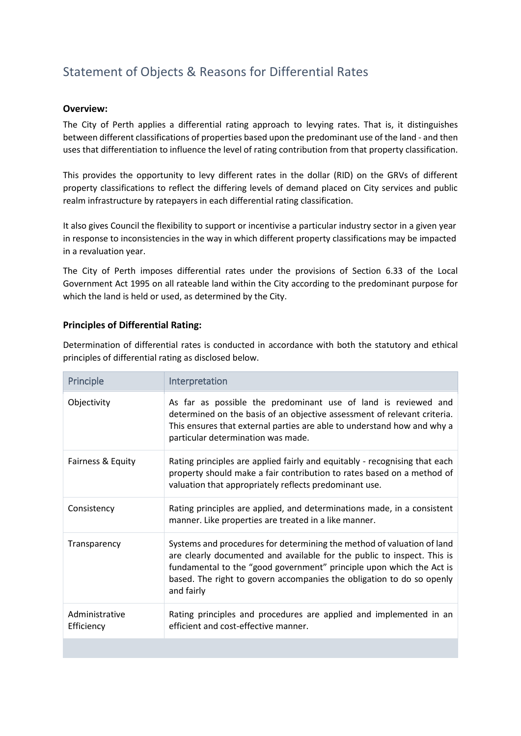# Statement of Objects & Reasons for Differential Rates

#### **Overview:**

The City of Perth applies a differential rating approach to levying rates. That is, it distinguishes between different classifications of properties based upon the predominant use of the land - and then uses that differentiation to influence the level of rating contribution from that property classification.

This provides the opportunity to levy different rates in the dollar (RID) on the GRVs of different property classifications to reflect the differing levels of demand placed on City services and public realm infrastructure by ratepayers in each differential rating classification.

It also gives Council the flexibility to support or incentivise a particular industry sector in a given year in response to inconsistencies in the way in which different property classifications may be impacted in a revaluation year.

The City of Perth imposes differential rates under the provisions of Section 6.33 of the Local Government Act 1995 on all rateable land within the City according to the predominant purpose for which the land is held or used, as determined by the City.

## **Principles of Differential Rating:**

Determination of differential rates is conducted in accordance with both the statutory and ethical principles of differential rating as disclosed below.

| Principle                    | Interpretation                                                                                                                                                                                                                                                                                                   |
|------------------------------|------------------------------------------------------------------------------------------------------------------------------------------------------------------------------------------------------------------------------------------------------------------------------------------------------------------|
| Objectivity                  | As far as possible the predominant use of land is reviewed and<br>determined on the basis of an objective assessment of relevant criteria.<br>This ensures that external parties are able to understand how and why a<br>particular determination was made.                                                      |
| Fairness & Equity            | Rating principles are applied fairly and equitably - recognising that each<br>property should make a fair contribution to rates based on a method of<br>valuation that appropriately reflects predominant use.                                                                                                   |
| Consistency                  | Rating principles are applied, and determinations made, in a consistent<br>manner. Like properties are treated in a like manner.                                                                                                                                                                                 |
| Transparency                 | Systems and procedures for determining the method of valuation of land<br>are clearly documented and available for the public to inspect. This is<br>fundamental to the "good government" principle upon which the Act is<br>based. The right to govern accompanies the obligation to do so openly<br>and fairly |
| Administrative<br>Efficiency | Rating principles and procedures are applied and implemented in an<br>efficient and cost-effective manner.                                                                                                                                                                                                       |
|                              |                                                                                                                                                                                                                                                                                                                  |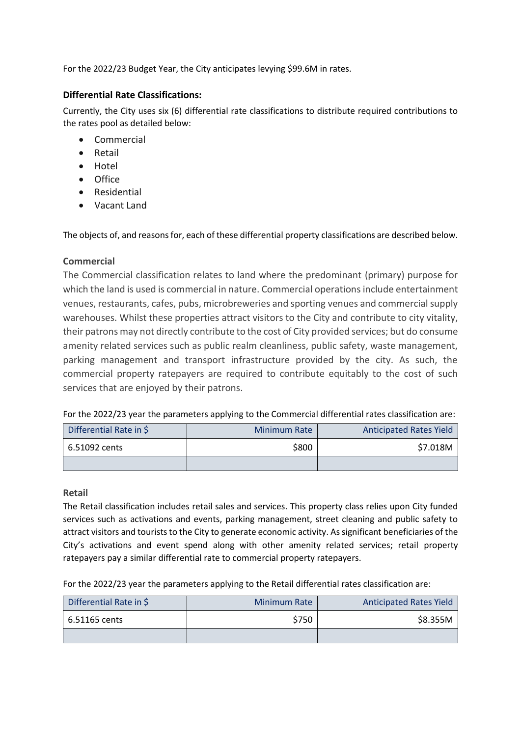For the 2022/23 Budget Year, the City anticipates levying \$99.6M in rates.

## **Differential Rate Classifications:**

Currently, the City uses six (6) differential rate classifications to distribute required contributions to the rates pool as detailed below:

- **Commercial**
- Retail
- Hotel
- Office
- Residential
- Vacant Land

The objects of, and reasons for, each of these differential property classifications are described below.

## **Commercial**

The Commercial classification relates to land where the predominant (primary) purpose for which the land is used is commercial in nature. Commercial operations include entertainment venues, restaurants, cafes, pubs, microbreweries and sporting venues and commercial supply warehouses. Whilst these properties attract visitors to the City and contribute to city vitality, their patrons may not directly contribute to the cost of City provided services; but do consume amenity related services such as public realm cleanliness, public safety, waste management, parking management and transport infrastructure provided by the city. As such, the commercial property ratepayers are required to contribute equitably to the cost of such services that are enjoyed by their patrons.

For the 2022/23 year the parameters applying to the Commercial differential rates classification are:

| Differential Rate in \$ | <b>Minimum Rate</b> | <b>Anticipated Rates Yield</b> |
|-------------------------|---------------------|--------------------------------|
| 6.51092 cents           | \$800               | \$7.018M                       |
|                         |                     |                                |

#### **Retail**

The Retail classification includes retail sales and services. This property class relies upon City funded services such as activations and events, parking management, street cleaning and public safety to attract visitors and tourists to the City to generate economic activity. As significant beneficiaries of the City's activations and event spend along with other amenity related services; retail property ratepayers pay a similar differential rate to commercial property ratepayers.

For the 2022/23 year the parameters applying to the Retail differential rates classification are:

| Differential Rate in \$ | <b>Minimum Rate</b> | <b>Anticipated Rates Yield</b> |
|-------------------------|---------------------|--------------------------------|
| 6.51165 cents           | \$750               | \$8.355M                       |
|                         |                     |                                |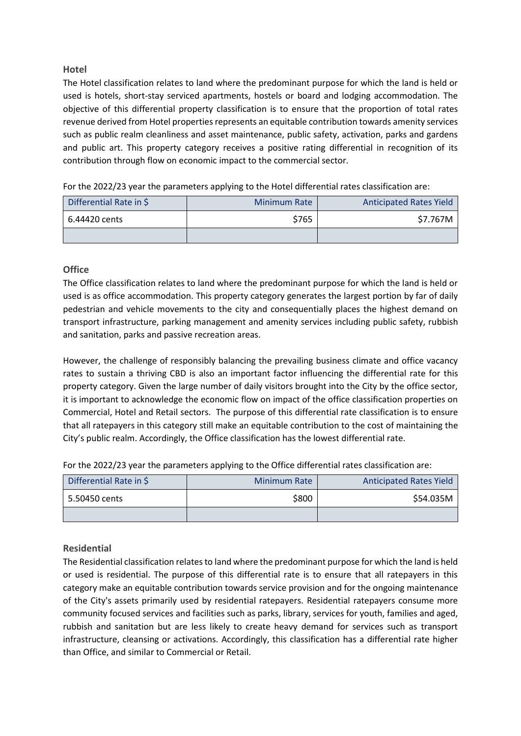## **Hotel**

The Hotel classification relates to land where the predominant purpose for which the land is held or used is hotels, short-stay serviced apartments, hostels or board and lodging accommodation. The objective of this differential property classification is to ensure that the proportion of total rates revenue derived from Hotel properties represents an equitable contribution towards amenity services such as public realm cleanliness and asset maintenance, public safety, activation, parks and gardens and public art. This property category receives a positive rating differential in recognition of its contribution through flow on economic impact to the commercial sector.

For the 2022/23 year the parameters applying to the Hotel differential rates classification are:

| Differential Rate in \$ | <b>Minimum Rate</b> | <b>Anticipated Rates Yield</b> |
|-------------------------|---------------------|--------------------------------|
| 6.44420 cents           | \$765               | \$7.767M                       |
|                         |                     |                                |

## **Office**

The Office classification relates to land where the predominant purpose for which the land is held or used is as office accommodation. This property category generates the largest portion by far of daily pedestrian and vehicle movements to the city and consequentially places the highest demand on transport infrastructure, parking management and amenity services including public safety, rubbish and sanitation, parks and passive recreation areas.

However, the challenge of responsibly balancing the prevailing business climate and office vacancy rates to sustain a thriving CBD is also an important factor influencing the differential rate for this property category. Given the large number of daily visitors brought into the City by the office sector, it is important to acknowledge the economic flow on impact of the office classification properties on Commercial, Hotel and Retail sectors. The purpose of this differential rate classification is to ensure that all ratepayers in this category still make an equitable contribution to the cost of maintaining the City's public realm. Accordingly, the Office classification has the lowest differential rate.

For the 2022/23 year the parameters applying to the Office differential rates classification are:

| Differential Rate in \$ | <b>Minimum Rate</b> | <b>Anticipated Rates Yield</b> |
|-------------------------|---------------------|--------------------------------|
| 5.50450 cents           | \$800               | \$54.035M                      |
|                         |                     |                                |

## **Residential**

The Residential classification relates to land where the predominant purpose for which the land is held or used is residential. The purpose of this differential rate is to ensure that all ratepayers in this category make an equitable contribution towards service provision and for the ongoing maintenance of the City's assets primarily used by residential ratepayers. Residential ratepayers consume more community focused services and facilities such as parks, library, services for youth, families and aged, rubbish and sanitation but are less likely to create heavy demand for services such as transport infrastructure, cleansing or activations. Accordingly, this classification has a differential rate higher than Office, and similar to Commercial or Retail.